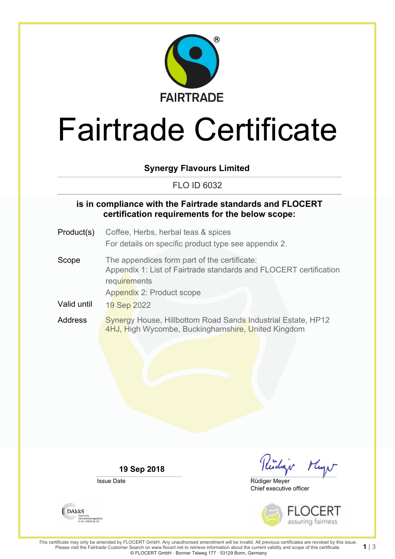

# Fairtrade Certificate

### **Synergy Flavours Limited**

#### FLO ID 6032

#### **is in compliance with the Fairtrade standards and FLOCERT certification requirements for the below scope:**

- Product(s) Coffee, Herbs, herbal teas & spices For details on specific product type see appendix 2.
- Scope The appendices form part of the certificate: Appendix 1: List of Fairtrade standards and FLOCERT certification requirements Appendix 2: Product scope
- Valid until 19 Sep 2022
- Address Synergy House, Hillbottom Road Sands Industrial Estate, HP12 4HJ, High Wycombe, Buckinghamshire, United Kingdom

**19 Sep 2018**

Issue Date

Kidar Mayn

Chief executive officer Rüdiger Meyer



**DAKKS** Akkreditierungsstelle<br>D-ZE-14408-01-00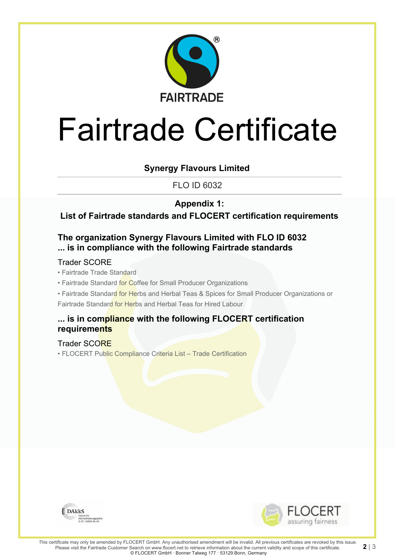

# Fairtrade Certificate

### **Synergy Flavours Limited**

FLO ID 6032

## **Appendix 1:**

**List of Fairtrade standards and FLOCERT certification requirements**

## **The organization Synergy Flavours Limited with FLO ID 6032 ... is in compliance with the following Fairtrade standards**

#### Trader SCORE

• Fairtrade Trade Standard

- Fairtrade Standard for Coffee for Small Producer Organizations
- Fairtrade Standard for Herbs and Herbal Teas & Spices for Small Producer Organizations or Fairtrade Standard for Herbs and Herbal Teas for Hired Labour

#### **... is in compliance with the following FLOCERT certification requirements**

#### Trader SCORE

• FLOCERT Public Compliance Criteria List – Trade Certification